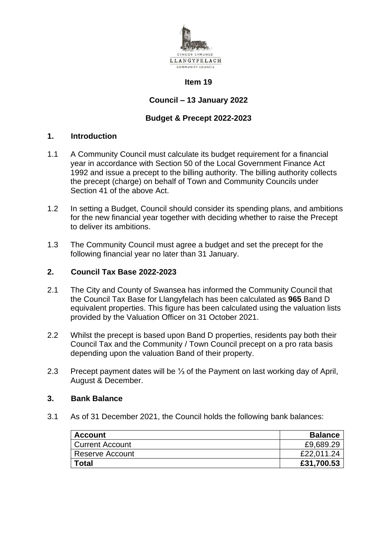

#### **Item 19**

# **Council – 13 January 2022**

### **Budget & Precept 2022-2023**

## **1. Introduction**

- 1.1 A Community Council must calculate its budget requirement for a financial year in accordance with Section 50 of the Local Government Finance Act 1992 and issue a precept to the billing authority. The billing authority collects the precept (charge) on behalf of Town and Community Councils under Section 41 of the above Act.
- 1.2 In setting a Budget, Council should consider its spending plans, and ambitions for the new financial year together with deciding whether to raise the Precept to deliver its ambitions.
- 1.3 The Community Council must agree a budget and set the precept for the following financial year no later than 31 January.

### **2. Council Tax Base 2022-2023**

- 2.1 The City and County of Swansea has informed the Community Council that the Council Tax Base for Llangyfelach has been calculated as **965** Band D equivalent properties. This figure has been calculated using the valuation lists provided by the Valuation Officer on 31 October 2021.
- 2.2 Whilst the precept is based upon Band D properties, residents pay both their Council Tax and the Community / Town Council precept on a pro rata basis depending upon the valuation Band of their property.
- 2.3 Precept payment dates will be ⅓ of the Payment on last working day of April, August & December.

#### **3. Bank Balance**

3.1 As of 31 December 2021, the Council holds the following bank balances:

| <b>Account</b>         | <b>Balance</b> |
|------------------------|----------------|
| <b>Current Account</b> | £9,689.29      |
| Reserve Account        | £22,011.24     |
| <b>Total</b>           | £31,700.53     |